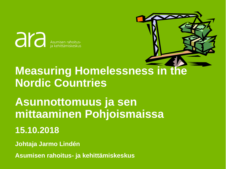ara Asumisen rahoitus-<br>ia kehittämiskeskus

# **Measuring Homelessness in the Nordic Countries**

# **Asunnottomuus ja sen mittaaminen Pohjoismaissa**

# **15.10.2018**

**Johtaja Jarmo Lindén**

.sumisen rand rahoitus- ja kehittämiskeskus **Asumisen rahoitus- ja kehittämiskeskus**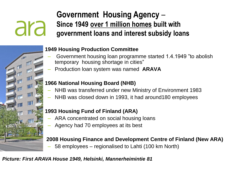## **Government Housing Agency** – **Since 1949 over 1 million homes built with government loans and interest subsidy loans**

### • **1949 Housing Production Committee**

- Government housing loan programme started 1.4.1949 "to abolish temporary housing shortage in cities"
- Production loan system was named **ARAVA**

#### • **1966 National Housing Board (NHB)**

- NHB was transferred under new Ministry of Environment 1983
- NHB was closed down in 1993, it had around180 employees

#### • **1993 Housing Fund of Finland (ARA)**

- ARA concentrated on social housing loans
- Agency had 70 employees at its best

#### • **2008 Housing Finance and Development Centre of Finland (New ARA)**

– 58 employees – regionalised to Lahti (100 km North)

#### *Picture: First ARAVA House 1949, Helsinki, Mannerheimintie 81*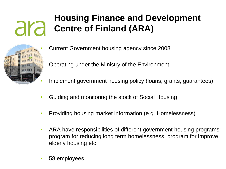# **Housing Finance and Development Centre of Finland (ARA)**



- Current Government housing agency since 2008 • Operating under the Ministry of the Environment
- Implement government housing policy (loans, grants, guarantees)
- Guiding and monitoring the stock of Social Housing
- Providing housing market information (e.g. Homelessness)
- ARA have responsibilities of different government housing programs: program for reducing long term homelessness, program for improve elderly housing etc
- 58 employees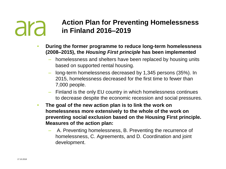#### **Action Plan for Preventing Homelessness**  ara **in Finland 2016–2019**

- **During the former programme to reduce long-term homelessness (2008–2015), the** *Housing First principle* **has been implemented** 
	- homelessness and shelters have been replaced by housing units based on supported rental housing.
	- long-term homelessness decreased by 1,345 persons (35%). In 2015, homelessness decreased for the first time to fewer than 7,000 people.
	- Finland is the only EU country in which homelessness continues to decrease despite the economic recession and social pressures.
- **The goal of the new action plan is to link the work on homelessness more extensively to the whole of the work on preventing social exclusion based on the Housing First principle. Measures of the action plan:**
	- A. Preventing homelessness, B. Preventing the recurrence of homelessness, C. Agreements, and D. Coordination and joint development.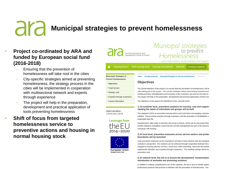## ara **Municipal strategies to prevent homelessness**

- **Project co-ordinated by ARA and funded by European social fund (2016-2018)**
	- Ensuring that the prevention of homelessness will take root in the cities
	- City-specific strategies aimed at preventing homelessness, the strategy process in the cities will be implemented in cooperation with multisectoral network and experts through experience
	- The project will help in the preparation, development and practical application of tools preventing homelessness
- **Shift of focus from targeted homelessness service to preventive actions and housing in normal housing stock**

|                                                                                                                                                              | The Housing Finance and<br>Development Centre of Finland                                                                                                                                                        | Homelessness<br>- early intervention, social inclusion and support                                                                                                                           |                  |                         |  |  |
|--------------------------------------------------------------------------------------------------------------------------------------------------------------|-----------------------------------------------------------------------------------------------------------------------------------------------------------------------------------------------------------------|----------------------------------------------------------------------------------------------------------------------------------------------------------------------------------------------|------------------|-------------------------|--|--|
| <b>Housing finance</b><br>侖                                                                                                                                  | <b>ARA housing stock</b>                                                                                                                                                                                        | <b>Housing development</b>                                                                                                                                                                   | <b>Materials</b> | <b>Housing programs</b> |  |  |
| <b>Municipial Strategies to</b><br>Home $>$ Housing programs $>$ Municipial Strategies to Prevent Homelessness $>$ Objectives<br><b>Prevent Homelessness</b> |                                                                                                                                                                                                                 |                                                                                                                                                                                              |                  |                         |  |  |
| <b>Objectives</b><br>> Objectives                                                                                                                            |                                                                                                                                                                                                                 |                                                                                                                                                                                              |                  |                         |  |  |
| > Target groups                                                                                                                                              | The overall objective of the project is to ensure that the prevention of homelessness will tal                                                                                                                  |                                                                                                                                                                                              |                  |                         |  |  |
| > Strategy work                                                                                                                                              |                                                                                                                                                                                                                 | cities taking part in the project. City-specific strategies aimed at preventing homelessness<br>working practices strengthening social inclusion of the customers are used as the tools in t |                  |                         |  |  |
| > Expertise through experience                                                                                                                               |                                                                                                                                                                                                                 | The project will help in the preparation, development and practical application of these tool                                                                                                |                  |                         |  |  |
| > Contact information                                                                                                                                        |                                                                                                                                                                                                                 | The objectives of the project are interlinked at four concrete levels:                                                                                                                       |                  |                         |  |  |
| roject duration :                                                                                                                                            |                                                                                                                                                                                                                 | 1) At customer level, preventive solutions for housing, care and support<br>meeting the needs of individuals and groups will be built                                                        |                  |                         |  |  |
| 3.2016-28.2.2019                                                                                                                                             | The emphasis will be on preventive housing advice and work forms encouraging customer<br>initiative. These include expertise through experience and the promotion of rehabilitative w<br>meaningful daily life. |                                                                                                                                                                                              |                  |                         |  |  |
| <b>Leverage from</b>                                                                                                                                         | Homelessness often leads to passivity and social exclusion, which can be prevented if the<br>models helping to strengthen social inclusion and life management are part of the process                          |                                                                                                                                                                                              |                  |                         |  |  |



European Union European Social Fund



everybody with housing.

Municipal strategies

#### 2) At local level, preventive measures across service sectors and profes boundaries will be launched

Such preventive measures across boundaries will help to build solutions that are sustainat customer's perspective. The solutions can be achieved through cooperation between the p engaged in housing advisory services, social work, debt counselling, intoxicant and mental employment subsidies and expertise through experience. The resulting savings will be inv preventive work.

#### 3) At national level, the aim is to ensure the development, dissemination introduction of workable and promising solutions

In addition to making comprehensive use of the solutions, the aim is also to identify admini professional practices that promote or interfere with the prevention of homelessness. The 1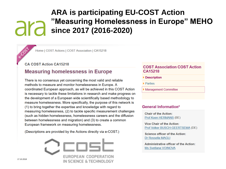#### **ARA is participating EU-COST Action** "Measuring Homelessness in Europe" MEHO ara since 2017 (2016-2020)

Home | COST Actions | COST Association | CA15218

**CA COST Action CA15218** 

#### **Measuring homelessness in Europe**

There is no consensus yet concerning the most valid and reliable methods to measure and monitor homelessness in Europe. A coordinated European approach, as will be achieved in this COST Action is necessary to tackle these limitations in research and make progress on the development of a European wide scientifically based methodology to measure homelessness. More specifically, the purpose of this network is (1) to bring together the expertise and knowledge with regard to measuring homelessness, (2) to tackle specific measurement challenges (such as hidden homelessness, homelessness careers and the diffusion between homelessness and migration) and (3) to create a common European framework on measuring homelessness.

(Descriptions are provided by the Actions directly via e-COST.)



#### **COST Association COST Action** CA15218

- Description
- ▶ Parties
- Management Committee

#### **General Information\***

**Chair of the Action:** Prof Koen HERMANS (BE)

**Vice Chair of the Action:** Prof Volker BUSCH-GEERTSEMA (DE)

**Science officer of the Action:** Dr Rossella MAGLI

**Administrative officer of the Action:** Ms Svetlana VOINOVA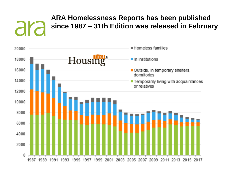### **ARA Homelessness Reports has been published**  ara **since 1987 – 31th Edition was released in February**

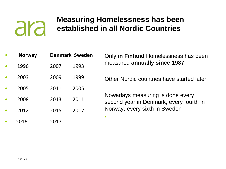## **Measuring Homelessness has been established in all Nordic Countries**

|           | <b>Norway</b> | <b>Denmark Sweden</b> | Only in Finland Homelessness has been                                       |
|-----------|---------------|-----------------------|-----------------------------------------------------------------------------|
| $\bullet$ | 1996          | 1993<br>2007          | measured annually since 1987                                                |
|           | 2003          | 2009<br>1999          | Other Nordic countries have started later.                                  |
|           | 2005          | 2011<br>2005          |                                                                             |
|           | 2008          | 2011<br>2013          | Nowadays measuring is done every<br>second year in Denmark, every fourth in |
|           | 2012          | 2015<br>2017          | Norway, every sixth in Sweden                                               |
|           | 2016          | 2017                  | $\bullet$                                                                   |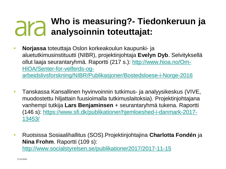# **Who is measuring?- Tiedonkeruun ja analysoinnin toteuttajat:**

- **Norjassa** toteuttaja Oslon korkeakoulun kaupunki- ja aluetutkimusinstituutti (NIBR), projektinjohtaja **Evelyn Dyb**. Selvityksellä ollut laaja seurantaryhmä. Raportti (217 s.): http://www.hioa.no/Om-HiOA/Senter-for-velferds-og[arbeidslivsforskning/NIBR/Publikasjoner/Bostedsloese-i-Norge-2016](http://www.hioa.no/Om-HiOA/Senter-for-velferds-og-arbeidslivsforskning/NIBR/Publikasjoner/Bostedsloese-i-Norge-2016 (217)
- Tanskassa Kansallinen hyvinvoinnin tutkimus- ja analyysikeskus (VIVE, muodostettu hiljattain fuusioimalla tutkimuslaitoksia). Projektinjohtajana vanhempi tutkija **Lars Benjaminsen** + seurantaryhmä tukena. Raportti [\(146 s\): https://www.sfi.dk/publikationer/hjemloeshed-i-danmark-2017-](https://www.sfi.dk/publikationer/hjemloeshed-i-danmark-2017-13453/) 13453/
- Ruotsissa Sosiaalihallitus (SOS).Projektinjohtajina **Charlotta Fondén** ja **Nina Frohm**. Raportti (109 s): <http://www.socialstyrelsen.se/publikationer2017/2017-11-15>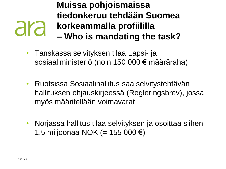## **Muissa pohjoismaissa tiedonkeruu tehdään Suomea**  ara **korkeammalla profiililla – Who is mandating the task?**

- Tanskassa selvityksen tilaa Lapsi- ja sosiaaliministeriö (noin 150 000 € määräraha)
- Ruotsissa Sosiaalihallitus saa selvitystehtävän hallituksen ohjauskirjeessä (Regleringsbrev), jossa myös määritellään voimavarat
- Norjassa hallitus tilaa selvityksen ja osoittaa siihen 1,5 miljoonaa NOK (= 155 000 €)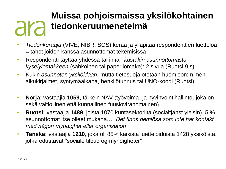## **Muissa pohjoismaissa yksilökohtainen tiedonkeruumenetelmä** ara

- *Tiedonkerääjä* (VIVE, NIBR, SOS) kerää ja ylläpitää respondenttien luetteloa = tahot joiden kanssa asunnottomat tekemisissä
- Respondentti täyttää yhdessä tai ilman *kustakin asunnottomasta kyselylomakkeen* (sähköinen tai paperilomake): 2 sivua (Ruotsi 9 s)
- Kukin *asunnoton yksilöidään*, mutta tietosuoja otetaan huomioon: nimen alkukirjaimet, syntymäaikana, henkilötunnus tai UNO-koodi (Ruotsi)
- **Norja**: vastaajia **1059**, tärkein NAV (työvoima- ja hyvinvointihallinto, joka on sekä valtiollinen että kunnallinen fuusioviranomainen)
- **Ruotsi:** vastaajia **1489**, joista 1070 kuntasektorilta (socialtjänst yleisin), 5 % asunnottomat itse olleet mukana… *"Det finns hemlösa som inte har kontakt med någon myndighet eller organisation"*
- **Tanska:** vastaajia **1210**, joka oli 85% kaikista luetteloiduista 1428 yksiköistä, jotka edustavat "sociale tilbud og myndigheter"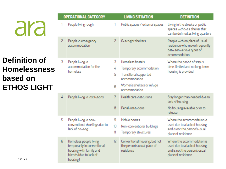**Definition of Homelessness based on ETHOS LIGHT**

| <b>OPERATIONAL CATEGORY</b> |                                                                                                                         | <b>LIVING SITUATION</b> |                                                                                                                                       | <b>DEFINITION</b>                                                                                                  |
|-----------------------------|-------------------------------------------------------------------------------------------------------------------------|-------------------------|---------------------------------------------------------------------------------------------------------------------------------------|--------------------------------------------------------------------------------------------------------------------|
|                             | People living rough                                                                                                     |                         | Public spaces / external spaces                                                                                                       | Living in the streets or public<br>spaces without a shelter that<br>can be defined as living quarters              |
| 2                           | People in emergency<br>accommodation                                                                                    | 2                       | Overnight shelters                                                                                                                    | People with no place of usual<br>residence who move frequently<br>between various types of<br>accommodation        |
| 3                           | People living in<br>accommodation for the<br>homeless                                                                   | 3<br>4<br>5<br>6        | Homeless hostels<br>Temporary accommodation<br>Transitional supported<br>accommodation<br>Women's shelters or refuge<br>accommodation | Where the period of stay is<br>time-limited and no long-term<br>housing is provided                                |
| 4                           | People living in institutions                                                                                           | 7<br>8                  | Health care institutions<br>Penal institutions                                                                                        | Stay longer than needed due to<br>lack of housing<br>No housing available prior to<br>release                      |
| 5                           | People living in non-<br>conventional dwellings due to<br>lack of housing                                               | 9<br>10<br>11           | Mobile homes<br>Non-conventional buildings<br>Temporary structures                                                                    | Where the accommodation is<br>used due to a lack of housing<br>and is not the person's usual<br>place of residence |
| 6                           | Homeless people living<br>temporarily in conventional<br>housing with family and<br>friends (due to lack of<br>housing) | 12                      | Conventional housing, but not<br>the person's usual place of<br>residence                                                             | Where the accommodation is<br>used due to a lack of housing<br>and is not the person's usual<br>place of residence |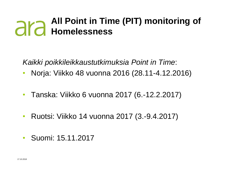# **All Point in Time (PIT) monitoring of Homelessness**

*Kaikki poikkileikkaustutkimuksia Point in Time*:

- Norja: Viikko 48 vuonna 2016 (28.11-4.12.2016)
- Tanska: Viikko 6 vuonna 2017 (6.-12.2.2017)
- Ruotsi: Viikko 14 vuonna 2017 (3.-9.4.2017)
- Suomi: 15.11.2017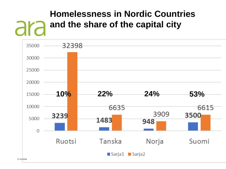## **Homelessness in Nordic Countries and the share of the capital city** ara

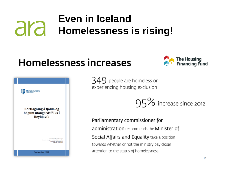## **Even in Iceland** ara **Homelessness is rising!**

# **Homelessness increases**





 $349$  people are homeless or experiencing housing exclusion



Parliamentary commissioner for administration recommends the Minister of Social Affairs and Equality take a position towards whether or not the ministry pay closer attention to the status of homelessness.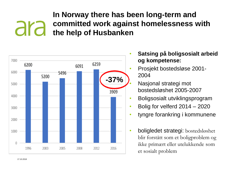#### **In Norway there has been long-term and committed work against homelessness with**  ara **the help of Husbanken**



- **Satsing på boligsosialt arbeid og kompetense:**
- Prosjekt bostedsløse 2001- 2004
- Nasjonal strategi mot bostedsløshet 2005-2007
- Boligsosialt utviklingsprogram
- Bolig for velferd  $2014 2020$
- tyngre forankring i kommunene
- boligledet strategi: bostedsløshet blir forstått som et boligproblem og ikke primært eller utelukkende som et sosialt problem